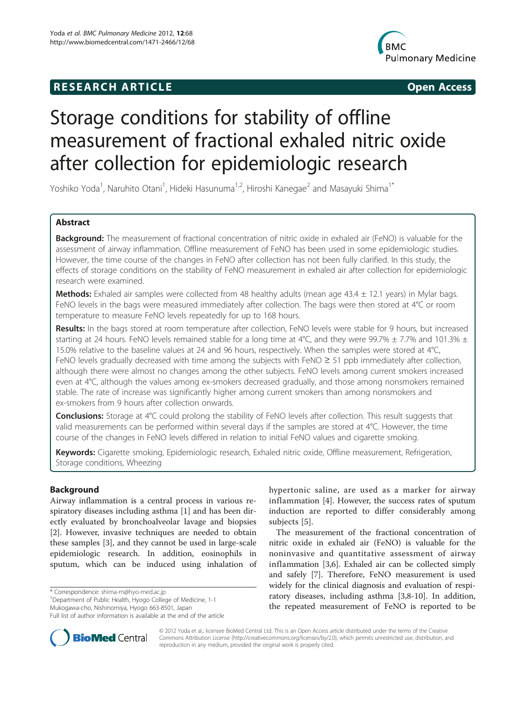## **RESEARCH ARTICLE Example 2014 The SEAR CH ACCESS**



# Storage conditions for stability of offline measurement of fractional exhaled nitric oxide after collection for epidemiologic research

Yoshiko Yoda<sup>1</sup>, Naruhito Otani<sup>1</sup>, Hideki Hasunuma<sup>1,2</sup>, Hiroshi Kanegae<sup>2</sup> and Masayuki Shima<sup>1\*</sup>

## Abstract

Background: The measurement of fractional concentration of nitric oxide in exhaled air (FeNO) is valuable for the assessment of airway inflammation. Offline measurement of FeNO has been used in some epidemiologic studies. However, the time course of the changes in FeNO after collection has not been fully clarified. In this study, the effects of storage conditions on the stability of FeNO measurement in exhaled air after collection for epidemiologic research were examined.

**Methods:** Exhaled air samples were collected from 48 healthy adults (mean age  $43.4 \pm 12.1$  years) in Mylar bags. FeNO levels in the bags were measured immediately after collection. The bags were then stored at 4°C or room temperature to measure FeNO levels repeatedly for up to 168 hours.

Results: In the bags stored at room temperature after collection, FeNO levels were stable for 9 hours, but increased starting at 24 hours. FeNO levels remained stable for a long time at  $4^{\circ}$ C, and they were 99.7%  $\pm$  7.7% and 101.3%  $\pm$ 15.0% relative to the baseline values at 24 and 96 hours, respectively. When the samples were stored at 4°C, FeNO levels gradually decreased with time among the subjects with FeNO ≥ 51 ppb immediately after collection, although there were almost no changes among the other subjects. FeNO levels among current smokers increased even at 4°C, although the values among ex-smokers decreased gradually, and those among nonsmokers remained stable. The rate of increase was significantly higher among current smokers than among nonsmokers and ex-smokers from 9 hours after collection onwards.

**Conclusions:** Storage at 4°C could prolong the stability of FeNO levels after collection. This result suggests that valid measurements can be performed within several days if the samples are stored at 4°C. However, the time course of the changes in FeNO levels differed in relation to initial FeNO values and cigarette smoking.

Keywords: Cigarette smoking, Epidemiologic research, Exhaled nitric oxide, Offline measurement, Refrigeration, Storage conditions, Wheezing

## Background

Airway inflammation is a central process in various respiratory diseases including asthma [[1\]](#page-7-0) and has been directly evaluated by bronchoalveolar lavage and biopsies [[2\]](#page-7-0). However, invasive techniques are needed to obtain these samples [\[3](#page-7-0)], and they cannot be used in large-scale epidemiologic research. In addition, eosinophils in sputum, which can be induced using inhalation of

\* Correspondence: [shima-m@hyo-med.ac.jp](mailto:shima-@hyo-med.ac.jp) <sup>1</sup>

<sup>1</sup>Department of Public Health, Hyogo College of Medicine, 1-1

Mukogawa-cho, Nishinomiya, Hyogo 663-8501, Japan

hypertonic saline, are used as a marker for airway inflammation [[4](#page-7-0)]. However, the success rates of sputum induction are reported to differ considerably among subjects [\[5](#page-7-0)].

The measurement of the fractional concentration of nitric oxide in exhaled air (FeNO) is valuable for the noninvasive and quantitative assessment of airway inflammation [[3,6](#page-7-0)]. Exhaled air can be collected simply and safely [[7](#page-7-0)]. Therefore, FeNO measurement is used widely for the clinical diagnosis and evaluation of respiratory diseases, including asthma [[3,8-10](#page-7-0)]. In addition, the repeated measurement of FeNO is reported to be



© 2012 Yoda et al.; licensee BioMed Central Ltd. This is an Open Access article distributed under the terms of the Creative Commons Attribution License [\(http://creativecommons.org/licenses/by/2.0\)](http://creativecommons.org/licenses/by/2.0), which permits unrestricted use, distribution, and reproduction in any medium, provided the original work is properly cited.

Full list of author information is available at the end of the article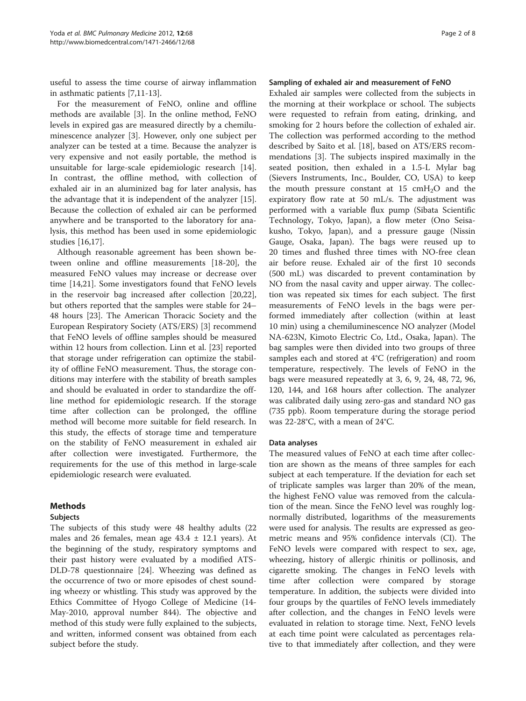useful to assess the time course of airway inflammation in asthmatic patients [[7,11-13\]](#page-7-0).

For the measurement of FeNO, online and offline methods are available [[3](#page-7-0)]. In the online method, FeNO levels in expired gas are measured directly by a chemiluminescence analyzer [\[3](#page-7-0)]. However, only one subject per analyzer can be tested at a time. Because the analyzer is very expensive and not easily portable, the method is unsuitable for large-scale epidemiologic research [\[14](#page-7-0)]. In contrast, the offline method, with collection of exhaled air in an aluminized bag for later analysis, has the advantage that it is independent of the analyzer [\[15](#page-7-0)]. Because the collection of exhaled air can be performed anywhere and be transported to the laboratory for analysis, this method has been used in some epidemiologic studies [\[16,17\]](#page-7-0).

Although reasonable agreement has been shown between online and offline measurements [[18](#page-7-0)-[20\]](#page-7-0), the measured FeNO values may increase or decrease over time [[14](#page-7-0),[21](#page-7-0)]. Some investigators found that FeNO levels in the reservoir bag increased after collection [\[20,22](#page-7-0)], but others reported that the samples were stable for 24– 48 hours [\[23\]](#page-7-0). The American Thoracic Society and the European Respiratory Society (ATS/ERS) [[3](#page-7-0)] recommend that FeNO levels of offline samples should be measured within 12 hours from collection. Linn et al. [[23\]](#page-7-0) reported that storage under refrigeration can optimize the stability of offline FeNO measurement. Thus, the storage conditions may interfere with the stability of breath samples and should be evaluated in order to standardize the offline method for epidemiologic research. If the storage time after collection can be prolonged, the offline method will become more suitable for field research. In this study, the effects of storage time and temperature on the stability of FeNO measurement in exhaled air after collection were investigated. Furthermore, the requirements for the use of this method in large-scale epidemiologic research were evaluated.

## Methods

## Subjects

The subjects of this study were 48 healthy adults (22 males and 26 females, mean age  $43.4 \pm 12.1$  years). At the beginning of the study, respiratory symptoms and their past history were evaluated by a modified ATS-DLD-78 questionnaire [\[24](#page-7-0)]. Wheezing was defined as the occurrence of two or more episodes of chest sounding wheezy or whistling. This study was approved by the Ethics Committee of Hyogo College of Medicine (14- May-2010, approval number 844). The objective and method of this study were fully explained to the subjects, and written, informed consent was obtained from each subject before the study.

#### Sampling of exhaled air and measurement of FeNO

Exhaled air samples were collected from the subjects in the morning at their workplace or school. The subjects were requested to refrain from eating, drinking, and smoking for 2 hours before the collection of exhaled air. The collection was performed according to the method described by Saito et al. [\[18](#page-7-0)], based on ATS/ERS recommendations [[3](#page-7-0)]. The subjects inspired maximally in the seated position, then exhaled in a 1.5-L Mylar bag (Sievers Instruments, Inc., Boulder, CO, USA) to keep the mouth pressure constant at  $15 \text{ cm}H_2O$  and the expiratory flow rate at 50 mL/s. The adjustment was performed with a variable flux pump (Sibata Scientific Technology, Tokyo, Japan), a flow meter (Ono Seisakusho, Tokyo, Japan), and a pressure gauge (Nissin Gauge, Osaka, Japan). The bags were reused up to 20 times and flushed three times with NO-free clean air before reuse. Exhaled air of the first 10 seconds (500 mL) was discarded to prevent contamination by NO from the nasal cavity and upper airway. The collection was repeated six times for each subject. The first measurements of FeNO levels in the bags were performed immediately after collection (within at least 10 min) using a chemiluminescence NO analyzer (Model NA-623N, Kimoto Electric Co, Ltd., Osaka, Japan). The bag samples were then divided into two groups of three samples each and stored at 4°C (refrigeration) and room temperature, respectively. The levels of FeNO in the bags were measured repeatedly at 3, 6, 9, 24, 48, 72, 96, 120, 144, and 168 hours after collection. The analyzer was calibrated daily using zero-gas and standard NO gas (735 ppb). Room temperature during the storage period was 22-28°C, with a mean of 24°C.

#### Data analyses

The measured values of FeNO at each time after collection are shown as the means of three samples for each subject at each temperature. If the deviation for each set of triplicate samples was larger than 20% of the mean, the highest FeNO value was removed from the calculation of the mean. Since the FeNO level was roughly lognormally distributed, logarithms of the measurements were used for analysis. The results are expressed as geometric means and 95% confidence intervals (CI). The FeNO levels were compared with respect to sex, age, wheezing, history of allergic rhinitis or pollinosis, and cigarette smoking. The changes in FeNO levels with time after collection were compared by storage temperature. In addition, the subjects were divided into four groups by the quartiles of FeNO levels immediately after collection, and the changes in FeNO levels were evaluated in relation to storage time. Next, FeNO levels at each time point were calculated as percentages relative to that immediately after collection, and they were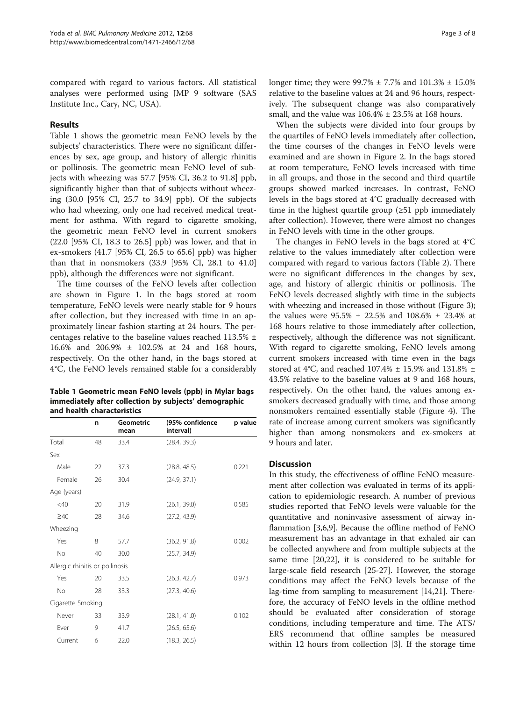compared with regard to various factors. All statistical analyses were performed using JMP 9 software (SAS Institute Inc., Cary, NC, USA).

## Results

Table 1 shows the geometric mean FeNO levels by the subjects' characteristics. There were no significant differences by sex, age group, and history of allergic rhinitis or pollinosis. The geometric mean FeNO level of subjects with wheezing was 57.7 [95% CI, 36.2 to 91.8] ppb, significantly higher than that of subjects without wheezing (30.0 [95% CI, 25.7 to 34.9] ppb). Of the subjects who had wheezing, only one had received medical treatment for asthma. With regard to cigarette smoking, the geometric mean FeNO level in current smokers (22.0 [95% CI, 18.3 to 26.5] ppb) was lower, and that in ex-smokers (41.7 [95% CI, 26.5 to 65.6] ppb) was higher than that in nonsmokers (33.9 [95% CI, 28.1 to 41.0] ppb), although the differences were not significant.

The time courses of the FeNO levels after collection are shown in Figure [1](#page-3-0). In the bags stored at room temperature, FeNO levels were nearly stable for 9 hours after collection, but they increased with time in an approximately linear fashion starting at 24 hours. The percentages relative to the baseline values reached 113.5% ± 16.6% and 206.9% ± 102.5% at 24 and 168 hours, respectively. On the other hand, in the bags stored at 4°C, the FeNO levels remained stable for a considerably

Table 1 Geometric mean FeNO levels (ppb) in Mylar bags immediately after collection by subjects' demographic and health characteristics

|                                 | n  | Geometric<br>mean | (95% confidence<br>interval) | p value |  |
|---------------------------------|----|-------------------|------------------------------|---------|--|
| Total                           | 48 | 33.4              | (28.4, 39.3)                 |         |  |
| Sex                             |    |                   |                              |         |  |
| Male                            | 22 | 37.3              | (28.8, 48.5)                 | 0.221   |  |
| Female                          | 26 | 30.4              | (24.9, 37.1)                 |         |  |
| Age (years)                     |    |                   |                              |         |  |
| $<$ 40                          | 20 | 31.9              | (26.1, 39.0)                 | 0.585   |  |
| $\geq 40$                       | 28 | 34.6              | (27.2, 43.9)                 |         |  |
| Wheezing                        |    |                   |                              |         |  |
| Yes                             | 8  | 57.7              | (36.2, 91.8)                 | 0.002   |  |
| <b>No</b>                       | 40 | 30.0              | (25.7, 34.9)                 |         |  |
| Allergic rhinitis or pollinosis |    |                   |                              |         |  |
| Yes                             | 20 | 33.5              | (26.3, 42.7)                 | 0.973   |  |
| <b>No</b>                       | 28 | 33.3              | (27.3, 40.6)                 |         |  |
| Cigarette Smoking               |    |                   |                              |         |  |
| Never                           | 33 | 33.9              | (28.1, 41.0)                 | 0.102   |  |
| Ever                            | 9  | 41.7              | (26.5, 65.6)                 |         |  |
| Current                         | 6  | 22.0              | (18.3, 26.5)                 |         |  |

longer time; they were 99.7% ± 7.7% and 101.3% ± 15.0% relative to the baseline values at 24 and 96 hours, respectively. The subsequent change was also comparatively small, and the value was  $106.4\% \pm 23.5\%$  at 168 hours.

When the subjects were divided into four groups by the quartiles of FeNO levels immediately after collection, the time courses of the changes in FeNO levels were examined and are shown in Figure [2.](#page-4-0) In the bags stored at room temperature, FeNO levels increased with time in all groups, and those in the second and third quartile groups showed marked increases. In contrast, FeNO levels in the bags stored at 4°C gradually decreased with time in the highest quartile group  $(\geq 51$  ppb immediately after collection). However, there were almost no changes in FeNO levels with time in the other groups.

The changes in FeNO levels in the bags stored at 4°C relative to the values immediately after collection were compared with regard to various factors (Table [2\)](#page-5-0). There were no significant differences in the changes by sex, age, and history of allergic rhinitis or pollinosis. The FeNO levels decreased slightly with time in the subjects with wheezing and increased in those without (Figure [3](#page-5-0)); the values were  $95.5\% \pm 22.5\%$  and  $108.6\% \pm 23.4\%$  at 168 hours relative to those immediately after collection, respectively, although the difference was not significant. With regard to cigarette smoking, FeNO levels among current smokers increased with time even in the bags stored at 4°C, and reached 107.4%  $\pm$  15.9% and 131.8%  $\pm$ 43.5% relative to the baseline values at 9 and 168 hours, respectively. On the other hand, the values among exsmokers decreased gradually with time, and those among nonsmokers remained essentially stable (Figure [4\)](#page-6-0). The rate of increase among current smokers was significantly higher than among nonsmokers and ex-smokers at 9 hours and later.

#### **Discussion**

In this study, the effectiveness of offline FeNO measurement after collection was evaluated in terms of its application to epidemiologic research. A number of previous studies reported that FeNO levels were valuable for the quantitative and noninvasive assessment of airway inflammation [\[3,6,9](#page-7-0)]. Because the offline method of FeNO measurement has an advantage in that exhaled air can be collected anywhere and from multiple subjects at the same time [[20,22](#page-7-0)], it is considered to be suitable for large-scale field research [\[25-27](#page-7-0)]. However, the storage conditions may affect the FeNO levels because of the lag-time from sampling to measurement [\[14,21\]](#page-7-0). Therefore, the accuracy of FeNO levels in the offline method should be evaluated after consideration of storage conditions, including temperature and time. The ATS/ ERS recommend that offline samples be measured within 12 hours from collection [\[3\]](#page-7-0). If the storage time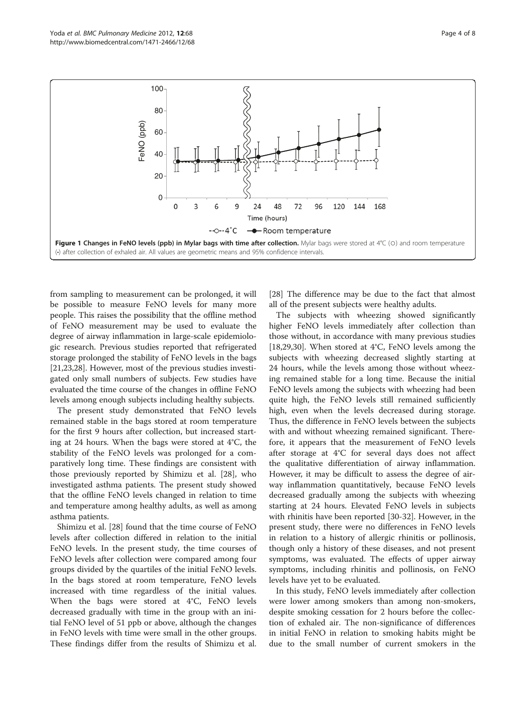<span id="page-3-0"></span>

from sampling to measurement can be prolonged, it will be possible to measure FeNO levels for many more people. This raises the possibility that the offline method of FeNO measurement may be used to evaluate the degree of airway inflammation in large-scale epidemiologic research. Previous studies reported that refrigerated storage prolonged the stability of FeNO levels in the bags [[21,23](#page-7-0),[28](#page-7-0)]. However, most of the previous studies investigated only small numbers of subjects. Few studies have evaluated the time course of the changes in offline FeNO levels among enough subjects including healthy subjects.

The present study demonstrated that FeNO levels remained stable in the bags stored at room temperature for the first 9 hours after collection, but increased starting at 24 hours. When the bags were stored at 4°C, the stability of the FeNO levels was prolonged for a comparatively long time. These findings are consistent with those previously reported by Shimizu et al. [\[28\]](#page-7-0), who investigated asthma patients. The present study showed that the offline FeNO levels changed in relation to time and temperature among healthy adults, as well as among asthma patients.

Shimizu et al. [[28](#page-7-0)] found that the time course of FeNO levels after collection differed in relation to the initial FeNO levels. In the present study, the time courses of FeNO levels after collection were compared among four groups divided by the quartiles of the initial FeNO levels. In the bags stored at room temperature, FeNO levels increased with time regardless of the initial values. When the bags were stored at 4°C, FeNO levels decreased gradually with time in the group with an initial FeNO level of 51 ppb or above, although the changes in FeNO levels with time were small in the other groups. These findings differ from the results of Shimizu et al.

[[28\]](#page-7-0) The difference may be due to the fact that almost all of the present subjects were healthy adults.

The subjects with wheezing showed significantly higher FeNO levels immediately after collection than those without, in accordance with many previous studies [[18,29,30\]](#page-7-0). When stored at 4°C, FeNO levels among the subjects with wheezing decreased slightly starting at 24 hours, while the levels among those without wheezing remained stable for a long time. Because the initial FeNO levels among the subjects with wheezing had been quite high, the FeNO levels still remained sufficiently high, even when the levels decreased during storage. Thus, the difference in FeNO levels between the subjects with and without wheezing remained significant. Therefore, it appears that the measurement of FeNO levels after storage at 4°C for several days does not affect the qualitative differentiation of airway inflammation. However, it may be difficult to assess the degree of airway inflammation quantitatively, because FeNO levels decreased gradually among the subjects with wheezing starting at 24 hours. Elevated FeNO levels in subjects with rhinitis have been reported [\[30](#page-7-0)-[32\]](#page-7-0). However, in the present study, there were no differences in FeNO levels in relation to a history of allergic rhinitis or pollinosis, though only a history of these diseases, and not present symptoms, was evaluated. The effects of upper airway symptoms, including rhinitis and pollinosis, on FeNO levels have yet to be evaluated.

In this study, FeNO levels immediately after collection were lower among smokers than among non-smokers, despite smoking cessation for 2 hours before the collection of exhaled air. The non-significance of differences in initial FeNO in relation to smoking habits might be due to the small number of current smokers in the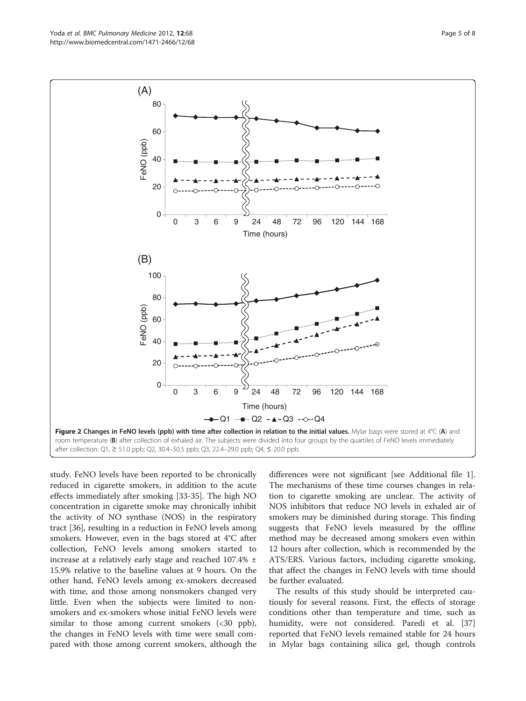study. FeNO levels have been reported to be chronically reduced in cigarette smokers, in addition to the acute effects immediately after smoking [[33-35\]](#page-7-0). The high NO concentration in cigarette smoke may chronically inhibit the activity of NO synthase (NOS) in the respiratory tract [[36](#page-7-0)], resulting in a reduction in FeNO levels among smokers. However, even in the bags stored at 4°C after collection, FeNO levels among smokers started to increase at a relatively early stage and reached 107.4% ± 15.9% relative to the baseline values at 9 hours. On the other hand, FeNO levels among ex-smokers decreased with time, and those among nonsmokers changed very little. Even when the subjects were limited to nonsmokers and ex-smokers whose initial FeNO levels were similar to those among current smokers  $\langle$  <30 ppb), the changes in FeNO levels with time were small compared with those among current smokers, although the

differences were not significant [see [Additional file 1](#page-6-0)]. The mechanisms of these time courses changes in relation to cigarette smoking are unclear. The activity of NOS inhibitors that reduce NO levels in exhaled air of smokers may be diminished during storage. This finding suggests that FeNO levels measured by the offline method may be decreased among smokers even within 12 hours after collection, which is recommended by the ATS/ERS. Various factors, including cigarette smoking, that affect the changes in FeNO levels with time should be further evaluated.

The results of this study should be interpreted cautiously for several reasons. First, the effects of storage conditions other than temperature and time, such as humidity, were not considered. Paredi et al. [[37](#page-7-0)] reported that FeNO levels remained stable for 24 hours in Mylar bags containing silica gel, though controls

<span id="page-4-0"></span>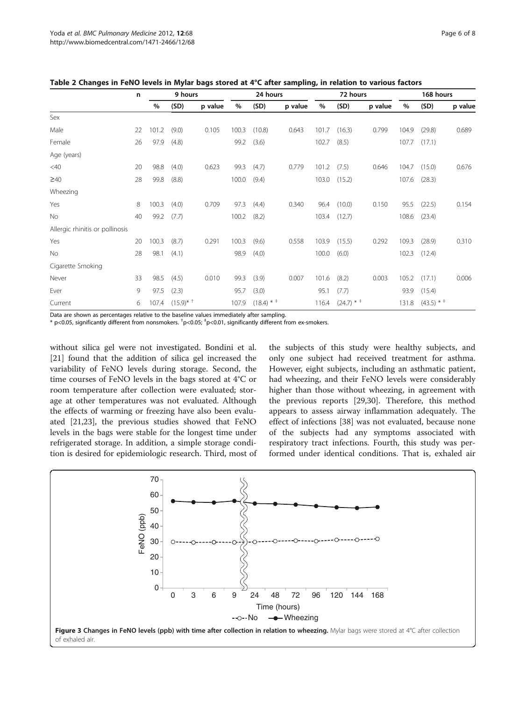|                                 | n  | 9 hours |                           | 24 hours |       |                         | 72 hours |       |            | 168 hours |       |            |         |
|---------------------------------|----|---------|---------------------------|----------|-------|-------------------------|----------|-------|------------|-----------|-------|------------|---------|
|                                 |    | $\%$    | (SD)                      | p value  | %     | (SD)                    | p value  | %     | (SD)       | p value   | $\%$  | (SD)       | p value |
| Sex                             |    |         |                           |          |       |                         |          |       |            |           |       |            |         |
| Male                            | 22 | 101.2   | (9.0)                     | 0.105    | 100.3 | (10.8)                  | 0.643    | 101.7 | (16.3)     | 0.799     | 104.9 | (29.8)     | 0.689   |
| Female                          | 26 | 97.9    | (4.8)                     |          | 99.2  | (3.6)                   |          | 102.7 | (8.5)      |           | 107.7 | (17.1)     |         |
| Age (years)                     |    |         |                           |          |       |                         |          |       |            |           |       |            |         |
| $<$ 40                          | 20 | 98.8    | (4.0)                     | 0.623    | 99.3  | (4.7)                   | 0.779    | 101.2 | (7.5)      | 0.646     | 104.7 | (15.0)     | 0.676   |
| $\geq 40$                       | 28 | 99.8    | (8.8)                     |          | 100.0 | (9.4)                   |          | 103.0 | (15.2)     |           | 107.6 | (28.3)     |         |
| Wheezing                        |    |         |                           |          |       |                         |          |       |            |           |       |            |         |
| Yes                             | 8  | 100.3   | (4.0)                     | 0.709    | 97.3  | (4.4)                   | 0.340    | 96.4  | (10.0)     | 0.150     | 95.5  | (22.5)     | 0.154   |
| <b>No</b>                       | 40 | 99.2    | (7.7)                     |          | 100.2 | (8.2)                   |          | 103.4 | (12.7)     |           | 108.6 | (23.4)     |         |
| Allergic rhinitis or pollinosis |    |         |                           |          |       |                         |          |       |            |           |       |            |         |
| Yes                             | 20 | 100.3   | (8.7)                     | 0.291    | 100.3 | (9.6)                   | 0.558    | 103.9 | (15.5)     | 0.292     | 109.3 | (28.9)     | 0.310   |
| <b>No</b>                       | 28 | 98.1    | (4.1)                     |          | 98.9  | (4.0)                   |          | 100.0 | (6.0)      |           | 102.3 | (12.4)     |         |
| Cigarette Smoking               |    |         |                           |          |       |                         |          |       |            |           |       |            |         |
| Never                           | 33 | 98.5    | (4.5)                     | 0.010    | 99.3  | (3.9)                   | 0.007    | 101.6 | (8.2)      | 0.003     | 105.2 | (17.1)     | 0.006   |
| Ever                            | 9  | 97.5    | (2.3)                     |          | 95.7  | (3.0)                   |          | 95.1  | (7.7)      |           | 93.9  | (15.4)     |         |
| Current                         | 6  | 107.4   | $(15.9)^{*}$ <sup>+</sup> |          | 107.9 | $(18.4) *$ <sup>+</sup> |          | 116.4 | $(24.7) *$ |           | 131.8 | $(43.5) *$ |         |

<span id="page-5-0"></span>Table 2 Changes in FeNO levels in Mylar bags stored at 4°C after sampling, in relation to various factors

Data are shown as percentages relative to the baseline values immediately after sampling.

 $^*$  p<0.05, significantly different from nonsmokers.  $^\dagger$ p<0.05;  $^\dagger$ p<0.01, significantly different from ex-smokers.

without silica gel were not investigated. Bondini et al. [[21\]](#page-7-0) found that the addition of silica gel increased the variability of FeNO levels during storage. Second, the time courses of FeNO levels in the bags stored at 4°C or room temperature after collection were evaluated; storage at other temperatures was not evaluated. Although the effects of warming or freezing have also been evaluated [[21](#page-7-0),[23](#page-7-0)], the previous studies showed that FeNO levels in the bags were stable for the longest time under refrigerated storage. In addition, a simple storage condition is desired for epidemiologic research. Third, most of

the subjects of this study were healthy subjects, and only one subject had received treatment for asthma. However, eight subjects, including an asthmatic patient, had wheezing, and their FeNO levels were considerably higher than those without wheezing, in agreement with the previous reports [[29,30](#page-7-0)]. Therefore, this method appears to assess airway inflammation adequately. The effect of infections [[38](#page-7-0)] was not evaluated, because none of the subjects had any symptoms associated with respiratory tract infections. Fourth, this study was performed under identical conditions. That is, exhaled air

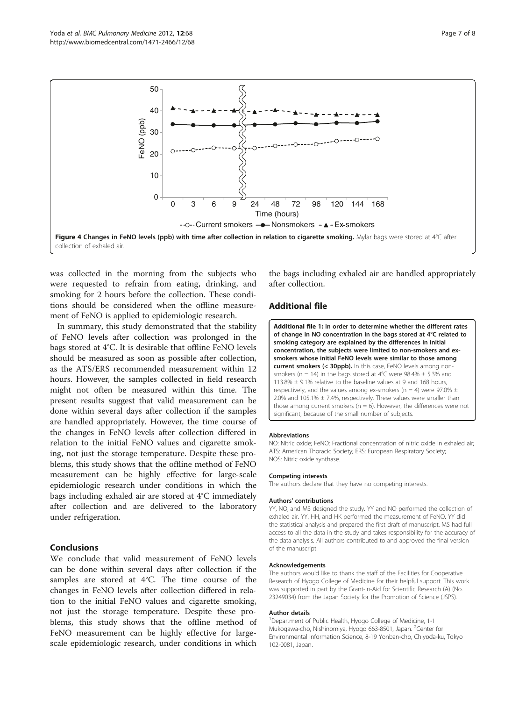<span id="page-6-0"></span>

was collected in the morning from the subjects who were requested to refrain from eating, drinking, and smoking for 2 hours before the collection. These conditions should be considered when the offline measurement of FeNO is applied to epidemiologic research.

In summary, this study demonstrated that the stability of FeNO levels after collection was prolonged in the bags stored at 4°C. It is desirable that offline FeNO levels should be measured as soon as possible after collection, as the ATS/ERS recommended measurement within 12 hours. However, the samples collected in field research might not often be measured within this time. The present results suggest that valid measurement can be done within several days after collection if the samples are handled appropriately. However, the time course of the changes in FeNO levels after collection differed in relation to the initial FeNO values and cigarette smoking, not just the storage temperature. Despite these problems, this study shows that the offline method of FeNO measurement can be highly effective for large-scale epidemiologic research under conditions in which the bags including exhaled air are stored at 4°C immediately after collection and are delivered to the laboratory under refrigeration.

## Conclusions

We conclude that valid measurement of FeNO levels can be done within several days after collection if the samples are stored at 4°C. The time course of the changes in FeNO levels after collection differed in relation to the initial FeNO values and cigarette smoking, not just the storage temperature. Despite these problems, this study shows that the offline method of FeNO measurement can be highly effective for largescale epidemiologic research, under conditions in which

the bags including exhaled air are handled appropriately after collection.

## Additional file

[Additional file 1:](http://www.biomedcentral.com/content/supplementary/1471-2466-12-68-S1.doc) In order to determine whether the different rates of change in NO concentration in the bags stored at 4°C related to smoking category are explained by the differences in initial concentration, the subjects were limited to non-smokers and exsmokers whose initial FeNO levels were similar to those among current smokers (< 30ppb). In this case, FeNO levels among nonsmokers (n = 14) in the bags stored at 4°C were  $98.4\% \pm 5.3\%$  and 113.8% ± 9.1% relative to the baseline values at 9 and 168 hours, respectively, and the values among ex-smokers (n = 4) were 97.0%  $\pm$ 2.0% and 105.1%  $\pm$  7.4%, respectively. These values were smaller than those among current smokers ( $n = 6$ ). However, the differences were not significant, because of the small number of subjects.

#### Abbreviations

NO: Nitric oxide; FeNO: Fractional concentration of nitric oxide in exhaled air; ATS: American Thoracic Society; ERS: European Respiratory Society; NOS: Nitric oxide synthase.

#### Competing interests

The authors declare that they have no competing interests.

#### Authors' contributions

YY, NO, and MS designed the study. YY and NO performed the collection of exhaled air. YY, HH, and HK performed the measurement of FeNO. YY did the statistical analysis and prepared the first draft of manuscript. MS had full access to all the data in the study and takes responsibility for the accuracy of the data analysis. All authors contributed to and approved the final version of the manuscript.

#### Acknowledgements

The authors would like to thank the staff of the Facilities for Cooperative Research of Hyogo College of Medicine for their helpful support. This work was supported in part by the Grant-in-Aid for Scientific Research (A) (No. 23249034) from the Japan Society for the Promotion of Science (JSPS).

#### Author details

<sup>1</sup>Department of Public Health, Hyogo College of Medicine, 1-1 Mukogawa-cho, Nishinomiya, Hyogo 663-8501, Japan. <sup>2</sup>Center for Environmental Information Science, 8-19 Yonban-cho, Chiyoda-ku, Tokyo 102-0081, Japan.